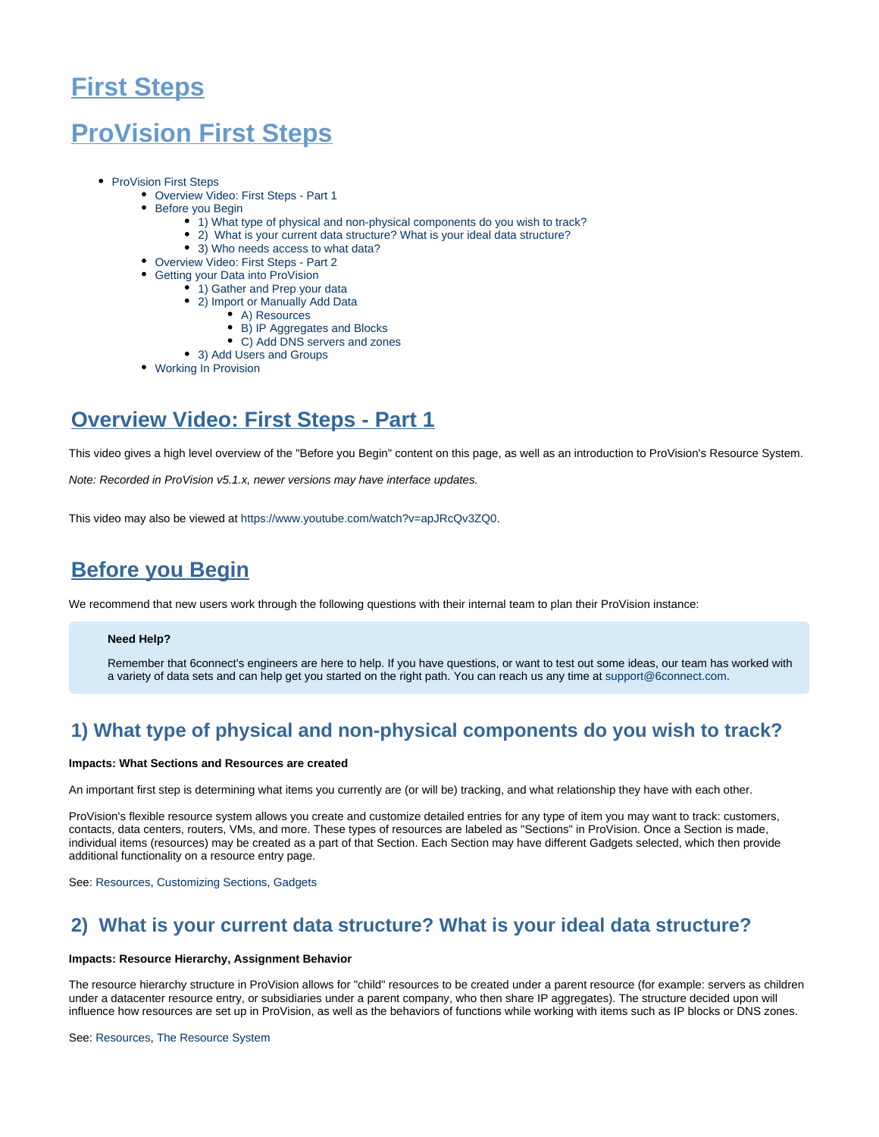# **First Steps**

# <span id="page-0-0"></span>**ProVision First Steps**

- [ProVision First Steps](#page-0-0)
	- [Overview Video: First Steps Part 1](#page-0-1)
	- [Before you Begin](#page-0-2)
		- [1\) What type of physical and non-physical components do you wish to track?](#page-0-3)
		- [2\) What is your current data structure? What is your ideal data structure?](#page-0-4)
		- [3\) Who needs access to what data?](#page-0-5)
	- [Overview Video: First Steps Part 2](#page-1-0)
	- [Getting your Data into ProVision](#page-1-1)
		- [1\) Gather and Prep your data](#page-1-2)
		- [2\) Import or Manually Add Data](#page-2-0)
			- [A\) Resources](#page-2-1)
			- [B\) IP Aggregates and Blocks](#page-2-2)
			- [C\) Add DNS servers and zones](#page-2-3)
		- [3\) Add Users and Groups](#page-3-0)
	- [Working In Provision](#page-4-0)

# <span id="page-0-1"></span>**Overview Video: First Steps - Part 1**

This video gives a high level overview of the "Before you Begin" content on this page, as well as an introduction to ProVision's Resource System.

Note: Recorded in ProVision v5.1.x, newer versions may have interface updates.

This video may also be viewed at <https://www.youtube.com/watch?v=apJRcQv3ZQ0>.

# <span id="page-0-2"></span>**Before you Begin**

We recommend that new users work through the following questions with their internal team to plan their ProVision instance:

## **Need Help?**

Remember that 6connect's engineers are here to help. If you have questions, or want to test out some ideas, our team has worked with a variety of data sets and can help get you started on the right path. You can reach us any time at [support@6connect.com](mailto:support@6connect.com).

## <span id="page-0-3"></span>**1) What type of physical and non-physical components do you wish to track?**

## **Impacts: What Sections and Resources are created**

An important first step is determining what items you currently are (or will be) tracking, and what relationship they have with each other.

ProVision's flexible resource system allows you create and customize detailed entries for any type of item you may want to track: customers, contacts, data centers, routers, VMs, and more. These types of resources are labeled as "Sections" in ProVision. Once a Section is made, individual items (resources) may be created as a part of that Section. Each Section may have different Gadgets selected, which then provide additional functionality on a resource entry page.

See: [Resources,](https://docs.6connect.com/display/DOC/Working+with+Resources) [Customizing Sections](https://docs.6connect.com/display/DOC/Customizing+Sections), [Gadgets](https://docs.6connect.com/display/DOC/Gadgets)

## <span id="page-0-4"></span>**2) What is your current data structure? What is your ideal data structure?**

## **Impacts: Resource Hierarchy, Assignment Behavior**

The resource hierarchy structure in ProVision allows for "child" resources to be created under a parent resource (for example: servers as children under a datacenter resource entry, or subsidiaries under a parent company, who then share IP aggregates). The structure decided upon will influence how resources are set up in ProVision, as well as the behaviors of functions while working with items such as IP blocks or DNS zones.

### <span id="page-0-5"></span>See: [Resources,](https://docs.6connect.com/display/DOC/Working+with+Resources) [The Resource System](https://docs.6connect.com/display/DOC/Resource+Concepts)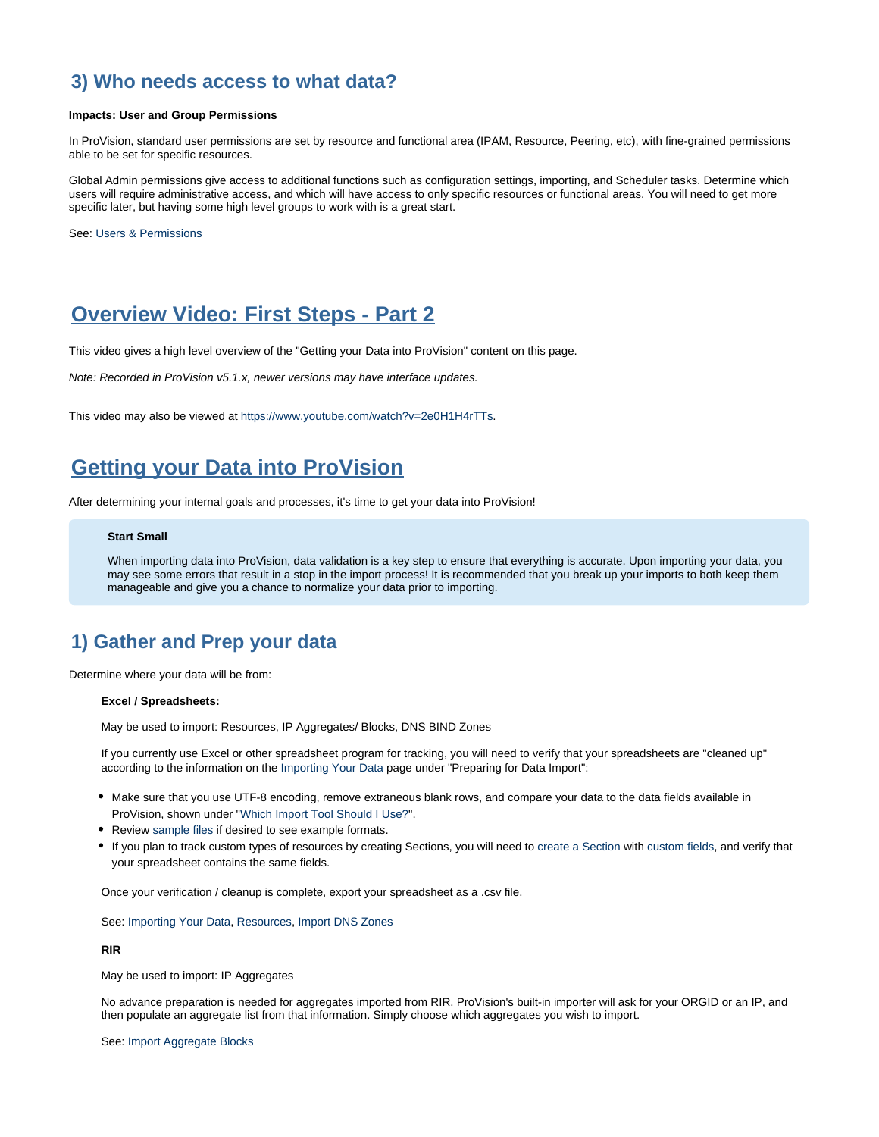## **3) Who needs access to what data?**

## **Impacts: User and Group Permissions**

In ProVision, standard user permissions are set by resource and functional area (IPAM, Resource, Peering, etc), with fine-grained permissions able to be set for specific resources.

Global Admin permissions give access to additional functions such as configuration settings, importing, and Scheduler tasks. Determine which users will require administrative access, and which will have access to only specific resources or functional areas. You will need to get more specific later, but having some high level groups to work with is a great start.

See: [Users & Permissions](https://docs.6connect.com/display/DOC/Users+and+Permissions)

## <span id="page-1-0"></span>**Overview Video: First Steps - Part 2**

This video gives a high level overview of the "Getting your Data into ProVision" content on this page.

Note: Recorded in ProVision v5.1.x, newer versions may have interface updates.

This video may also be viewed at <https://www.youtube.com/watch?v=2e0H1H4rTTs>.

## <span id="page-1-1"></span>**Getting your Data into ProVision**

After determining your internal goals and processes, it's time to get your data into ProVision!

## **Start Small**

When importing data into ProVision, data validation is a key step to ensure that everything is accurate. Upon importing your data, you may see some errors that result in a stop in the import process! It is recommended that you break up your imports to both keep them manageable and give you a chance to normalize your data prior to importing.

## <span id="page-1-2"></span>**1) Gather and Prep your data**

Determine where your data will be from:

## **Excel / Spreadsheets:**

May be used to import: Resources, IP Aggregates/ Blocks, DNS BIND Zones

If you currently use Excel or other spreadsheet program for tracking, you will need to verify that your spreadsheets are "cleaned up" according to the information on the [Importing Your Data](https://docs.6connect.com/display/DOC/Importing+Your+Data) page under "Preparing for Data Import":

- Make sure that you use UTF-8 encoding, remove extraneous blank rows, and compare your data to the data fields available in ProVision, shown under ["Which Import Tool Should I Use?"](https://docs.6connect.com/display/DOC/Importing+Your+Data).
- Review [sample files](https://docs.6connect.com/display/DOC/Import+Templates) if desired to see example formats.
- If you plan to track custom types of resources by creating Sections, you will need to [create a Section](https://docs.6connect.com/display/DOC/Customizing+Sections) with [custom fields,](https://docs.6connect.com/display/DOC/Customizing+Fields) and verify that your spreadsheet contains the same fields.

Once your verification / cleanup is complete, export your spreadsheet as a .csv file.

See: [Importing Your Data,](https://docs.6connect.com/display/DOC/Importing+Your+Data) [Resources](https://docs.6connect.com/display/DOC/Working+with+Resources), [Import DNS Zones](https://docs.6connect.com/display/DOC/Import+DNS+Zones)

**RIR**

May be used to import: IP Aggregates

No advance preparation is needed for aggregates imported from RIR. ProVision's built-in importer will ask for your ORGID or an IP, and then populate an aggregate list from that information. Simply choose which aggregates you wish to import.

See: [Import Aggregate Blocks](https://docs.6connect.com/display/DOC/Import+Aggregate+Blocks)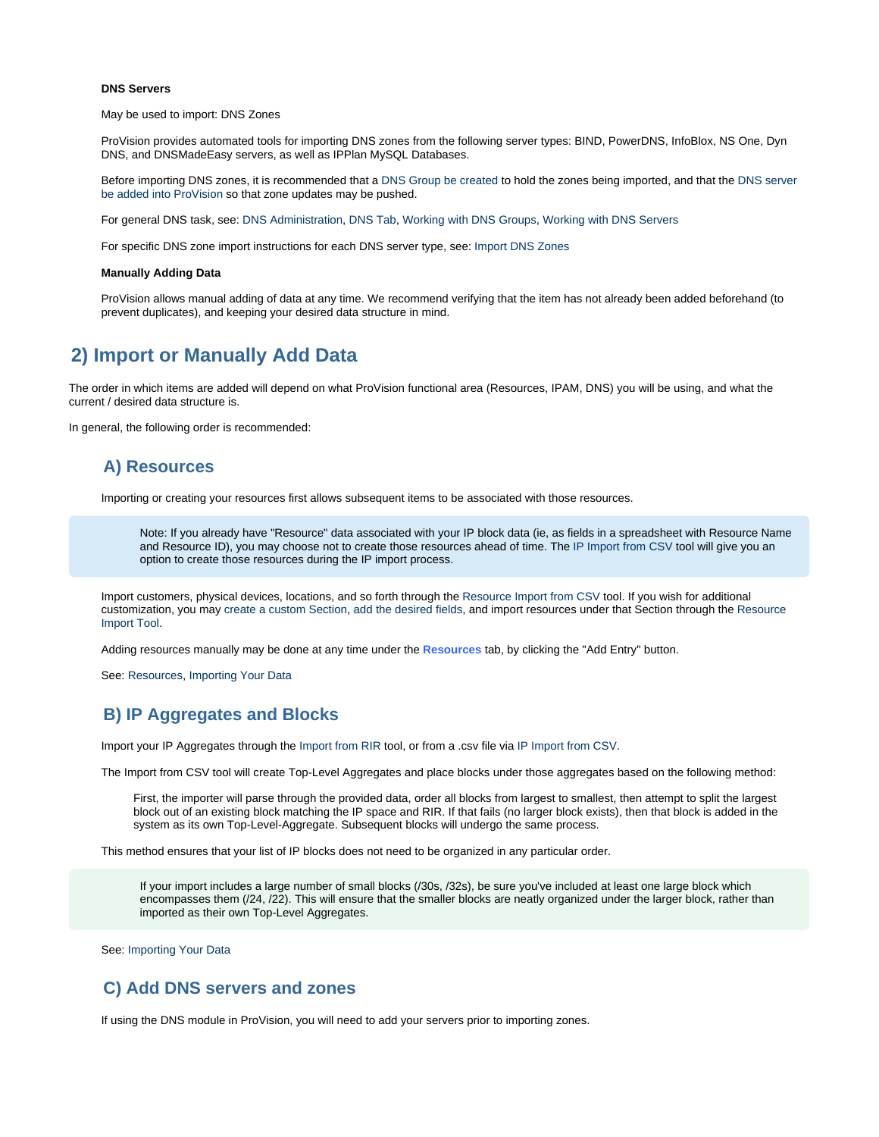## **DNS Servers**

May be used to import: DNS Zones

ProVision provides automated tools for importing DNS zones from the following server types: BIND, PowerDNS, InfoBlox, NS One, Dyn DNS, and DNSMadeEasy servers, as well as IPPlan MySQL Databases.

Before importing DNS zones, it is recommended that a [DNS Group be created](https://docs.6connect.com/display/DOC/Working+with+DNS+Groups) to hold the zones being imported, and that the [DNS server](https://docs.6connect.com/display/DOC/Working+with+DNS+Servers)  [be added into ProVision](https://docs.6connect.com/display/DOC/Working+with+DNS+Servers) so that zone updates may be pushed.

For general DNS task, see: [DNS Administration,](https://docs.6connect.com/display/DOC/DNS+Administration) [DNS Tab](https://docs.6connect.com/display/DOC/DNS+Tab), [Working with DNS Groups,](https://docs.6connect.com/display/DOC/Working+with+DNS+Groups) [Working with DNS Servers](https://docs.6connect.com/display/DOC/Working+with+DNS+Servers)

For specific DNS zone import instructions for each DNS server type, see: [Import DNS Zones](https://docs.6connect.com/display/DOC/Import+DNS+Zones)

### **Manually Adding Data**

ProVision allows manual adding of data at any time. We recommend verifying that the item has not already been added beforehand (to prevent duplicates), and keeping your desired data structure in mind.

## <span id="page-2-0"></span>**2) Import or Manually Add Data**

The order in which items are added will depend on what ProVision functional area (Resources, IPAM, DNS) you will be using, and what the current / desired data structure is.

<span id="page-2-1"></span>In general, the following order is recommended:

## **A) Resources**

Importing or creating your resources first allows subsequent items to be associated with those resources.

Note: If you already have "Resource" data associated with your IP block data (ie, as fields in a spreadsheet with Resource Name and Resource ID), you may choose not to create those resources ahead of time. The [IP Import from CSV](https://docs.6connect.com/display/DOC/IP+Import+from+CSV) tool will give you an option to create those resources during the IP import process.

Import customers, physical devices, locations, and so forth through the [Resource Import from CSV](https://docs.6connect.com/display/DOC/Resource+Import+from+CSV) tool. If you wish for additional customization, you may [create a custom Section,](https://docs.6connect.com/display/DOC/Customizing+Sections) [add the desired fields](https://docs.6connect.com/display/DOC/Customizing+Fields), and import resources under that Section through the [Resource](https://docs.6connect.com/display/DOC/Resource+Import+Tool)  [Import Tool.](https://docs.6connect.com/display/DOC/Resource+Import+Tool)

Adding resources manually may be done at any time under the **Resources** tab, by clicking the "Add Entry" button.

See: [Resources](https://docs.6connect.com/display/DOC/Working+with+Resources), [Importing Your Data](https://docs.6connect.com/display/DOC/Importing+Your+Data)

## <span id="page-2-2"></span>**B) IP Aggregates and Blocks**

Import your IP Aggregates through the [Import from RIR](https://docs.6connect.com/display/DOC/Import+Aggregate+Blocks) tool, or from a .csv file via [IP Import from CSV.](https://docs.6connect.com/display/DOC/IP+Import+from+CSV)

The Import from CSV tool will create Top-Level Aggregates and place blocks under those aggregates based on the following method:

First, the importer will parse through the provided data, order all blocks from largest to smallest, then attempt to split the largest block out of an existing block matching the IP space and RIR. If that fails (no larger block exists), then that block is added in the system as its own Top-Level-Aggregate. Subsequent blocks will undergo the same process.

This method ensures that your list of IP blocks does not need to be organized in any particular order.

If your import includes a large number of small blocks (/30s, /32s), be sure you've included at least one large block which encompasses them (/24, /22). This will ensure that the smaller blocks are neatly organized under the larger block, rather than imported as their own Top-Level Aggregates.

See: [Importing Your Data](https://docs.6connect.com/display/DOC/Importing+Your+Data)

## <span id="page-2-3"></span>**C) Add DNS servers and zones**

If using the DNS module in ProVision, you will need to add your servers prior to importing zones.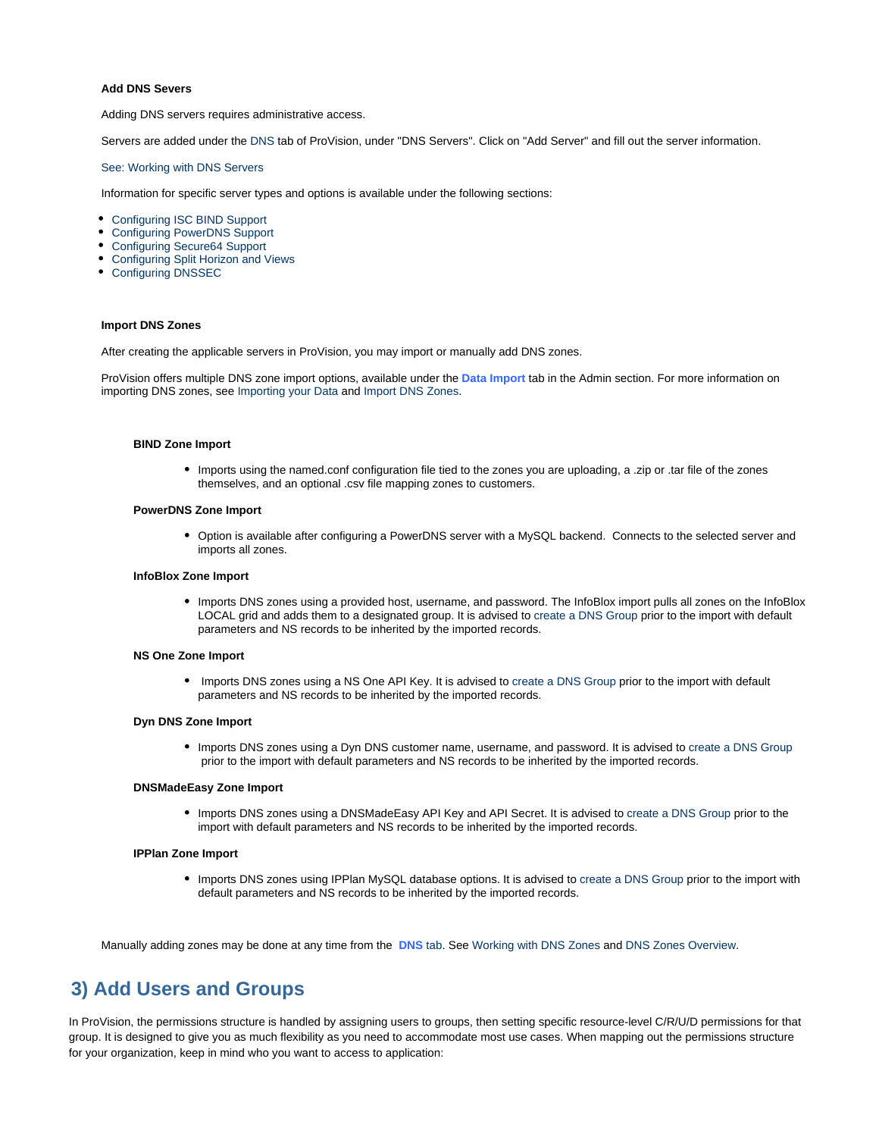## **Add DNS Severs**

Adding DNS servers requires administrative access.

Servers are added under the [DNS](https://docs.6connect.com/display/DOC/DNS+Tab) tab of ProVision, under "DNS Servers". Click on "Add Server" and fill out the server information.

See: [Working with DNS Servers](https://docs.6connect.com/display/DOC/Working+with+DNS+Servers)

Information for specific server types and options is available under the following sections:

- [Configuring ISC BIND Support](https://docs.6connect.com/display/DOC/Configuring+ISC+BIND+Support)
- [Configuring PowerDNS Support](https://docs.6connect.com/display/DOC/Configuring+PowerDNS+Support)
- [Configuring Secure64 Support](https://docs.6connect.com/display/DOC/Configuring+Secure64+Support)
- [Configuring Split Horizon and Views](https://docs.6connect.com/display/DOC/Configuring+Split+Horizon+and+Views)
- [Configuring DNSSEC](https://docs.6connect.com/display/DOC/Configuring+DNSSEC)

## **Import DNS Zones**

After creating the applicable servers in ProVision, you may import or manually add DNS zones.

ProVision offers multiple DNS zone import options, available under the **Data Import** tab in the Admin section. For more information on importing DNS zones, see [Importing your Data](https://docs.6connect.com/display/DOC/Importing+Your+Data) and [Import DNS Zones.](https://docs.6connect.com/display/DOC/Import+DNS+Zones)

## **BIND Zone Import**

Imports using the named.conf configuration file tied to the zones you are uploading, a .zip or .tar file of the zones themselves, and an optional .csv file mapping zones to customers.

#### **PowerDNS Zone Import**

Option is available after configuring a PowerDNS server with a MySQL backend. Connects to the selected server and imports all zones.

### **InfoBlox Zone Import**

• Imports DNS zones using a provided host, username, and password. The InfoBlox import pulls all zones on the InfoBlox LOCAL grid and adds them to a designated group. It is advised to [create a DNS Group](https://docs.6connect.com/display/DOC/Working+with+DNS+Groups) prior to the import with default parameters and NS records to be inherited by the imported records.

### **NS One Zone Import**

• Imports DNS zones using a NS One API Key. It is advised to [create a DNS Group](https://docs.6connect.com/display/DOC/Working+with+DNS+Groups) prior to the import with default parameters and NS records to be inherited by the imported records.

## **Dyn DNS Zone Import**

• Imports DNS zones using a Dyn DNS customer name, username, and password. It is advised to [create a DNS Group](https://docs.6connect.com/display/DOC/Working+with+DNS+Groups) prior to the import with default parameters and NS records to be inherited by the imported records.

## **DNSMadeEasy Zone Import**

Imports DNS zones using a DNSMadeEasy API Key and API Secret. It is advised to [create a DNS Group](https://docs.6connect.com/display/DOC/Working+with+DNS+Groups) prior to the import with default parameters and NS records to be inherited by the imported records.

#### **IPPlan Zone Import**

Imports DNS zones using IPPlan MySQL database options. It is advised to [create a DNS Group](https://docs.6connect.com/display/DOC/Working+with+DNS+Groups) prior to the import with default parameters and NS records to be inherited by the imported records.

Manually adding zones may be done at any time from the **[DNS](https://docs.6connect.com/display/DOC/DNS+Tab)** tab. See [Working with DNS Zones](https://docs.6connect.com/display/DOC/Working+with+DNS+Zones+-+Common+Tasks) and [DNS Zones Overview.](https://docs.6connect.com/display/DOC/Editing+DNS+Zones)

## <span id="page-3-0"></span>**3) Add Users and Groups**

In ProVision, the permissions structure is handled by assigning users to groups, then setting specific resource-level C/R/U/D permissions for that group. It is designed to give you as much flexibility as you need to accommodate most use cases. When mapping out the permissions structure for your organization, keep in mind who you want to access to application: